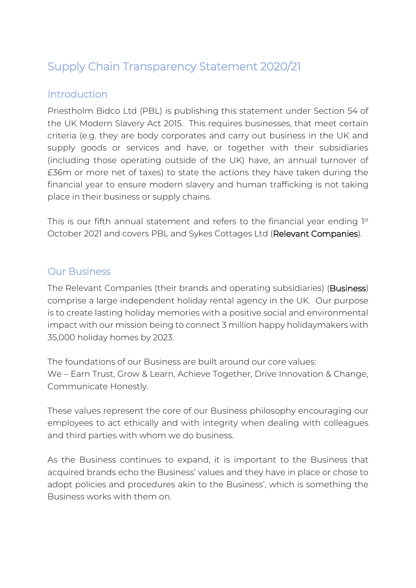# Supply Chain Transparency Statement 2020/21

## **Introduction**

Priestholm Bidco Ltd (PBL) is publishing this statement under Section 54 of the UK Modern Slavery Act 2015. This requires businesses, that meet certain criteria (e.g. they are body corporates and carry out business in the UK and supply goods or services and have, or together with their subsidiaries (including those operating outside of the UK) have, an annual turnover of £36m or more net of taxes) to state the actions they have taken during the financial year to ensure modern slavery and human trafficking is not taking place in their business or supply chains.

This is our fifth annual statement and refers to the financial year ending  $1^{\text{st}}$ October 2021 and covers PBL and Sykes Cottages Ltd (Relevant Companies).

### Our Business

The Relevant Companies (their brands and operating subsidiaries) (Business) comprise a large independent holiday rental agency in the UK. Our purpose is to create lasting holiday memories with a positive social and environmental impact with our mission being to connect 3 million happy holidaymakers with 35,000 holiday homes by 2023.

The foundations of our Business are built around our core values: We – Earn Trust, Grow & Learn, Achieve Together, Drive Innovation & Change, Communicate Honestly.

These values represent the core of our Business philosophy encouraging our employees to act ethically and with integrity when dealing with colleagues and third parties with whom we do business.

As the Business continues to expand, it is important to the Business that acquired brands echo the Business' values and they have in place or chose to adopt policies and procedures akin to the Business', which is something the Business works with them on.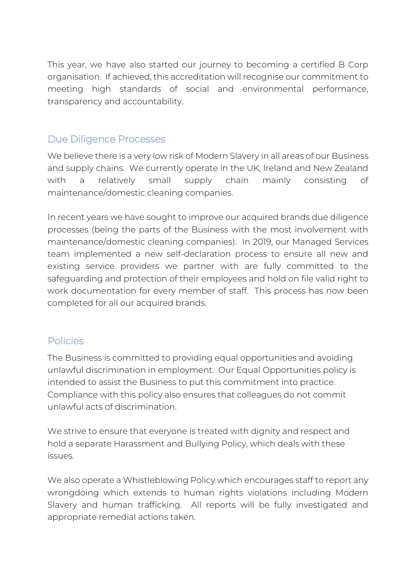This year, we have also started our journey to becoming a certified B Corp organisation. If achieved, this accreditation will recognise our commitment to meeting high standards of social and environmental performance, transparency and accountability.

### Due Diligence Processes

We believe there is a very low risk of Modern Slavery in all areas of our Business and supply chains. We currently operate in the UK, Ireland and New Zealand with a relatively small supply chain mainly consisting of maintenance/domestic cleaning companies.

In recent years we have sought to improve our acquired brands due diligence processes (being the parts of the Business with the most involvement with maintenance/domestic cleaning companies). In 2019, our Managed Services team implemented a new self-declaration process to ensure all new and existing service providers we partner with are fully committed to the safeguarding and protection of their employees and hold on file valid right to work documentation for every member of staff. This process has now been completed for all our acquired brands.

#### Policies

The Business is committed to providing equal opportunities and avoiding unlawful discrimination in employment. Our Equal Opportunities policy is intended to assist the Business to put this commitment into practice. Compliance with this policy also ensures that colleagues do not commit unlawful acts of discrimination.

We strive to ensure that everyone is treated with dignity and respect and hold a separate Harassment and Bullying Policy, which deals with these issues.

We also operate a Whistleblowing Policy which encourages staff to report any wrongdoing which extends to human rights violations including Modern Slavery and human trafficking. All reports will be fully investigated and appropriate remedial actions taken.